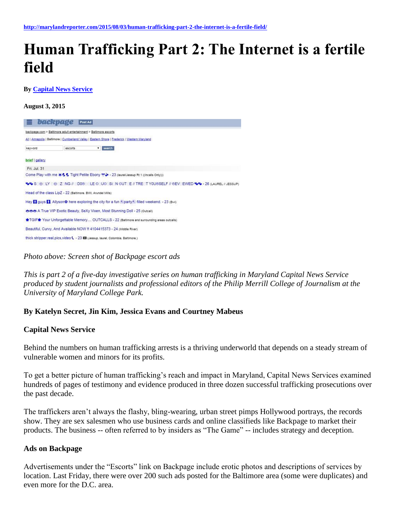# **Human Trafficking Part 2: The Internet is a fertile field**

**By [Capital News Service](http://marylandreporter.com/author/capital-news-service/)**

**August 3, 2015**



*Photo above: Screen shot of Backpage escort ads*

*This is part 2 of a five-day investigative series on human trafficking in Maryland Capital News Service produced by student journalists and professional editors of the Philip Merrill College of Journalism at the University of Maryland College Park.*

#### **By Katelyn Secret, Jin Kim, Jessica Evans and Courtney Mabeus**

#### **Capital News Service**

Behind the numbers on human trafficking arrests is a thriving underworld that depends on a steady stream of vulnerable women and minors for its profits.

To get a better picture of human trafficking's reach and impact in Maryland, Capital News Services examined hundreds of pages of testimony and evidence produced in three dozen successful trafficking prosecutions over the past decade.

The traffickers aren't always the flashy, bling-wearing, urban street pimps Hollywood portrays, the records show. They are sex salesmen who use business cards and online classifieds like Backpage to market their products. The business -- often referred to by insiders as "The Game" -- includes strategy and deception.

#### **Ads on Backpage**

Advertisements under the "Escorts" link on Backpage include erotic photos and descriptions of services by location. Last Friday, there were over 200 such ads posted for the Baltimore area (some were duplicates) and even more for the D.C. area.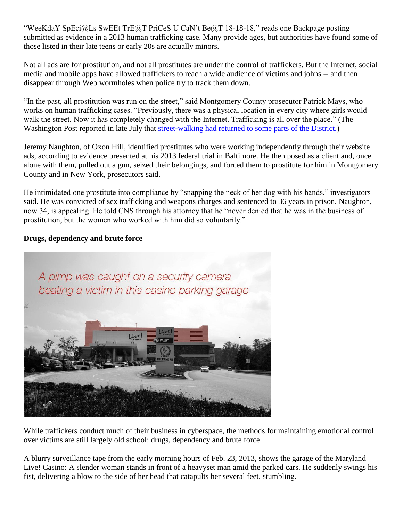"WeeKdaY SpEci@Ls SwEEt TrE@T PriCeS U CaN't Be@T 18-18-18," reads one Backpage posting submitted as evidence in a 2013 human trafficking case. Many provide ages, but authorities have found some of those listed in their late teens or early 20s are actually minors.

Not all ads are for prostitution, and not all prostitutes are under the control of traffickers. But the Internet, social media and mobile apps have allowed traffickers to reach a wide audience of victims and johns -- and then disappear through Web wormholes when police try to track them down.

"In the past, all prostitution was run on the street," said Montgomery County prosecutor Patrick Mays, who works on human trafficking cases. "Previously, there was a physical location in every city where girls would walk the street. Now it has completely changed with the Internet. Trafficking is all over the place." (The Washington Post reported in late July that [street-walking had returned to some parts of the District.\)](http://www.washingtonpost.com/local/crime/some-prostitutes-still-work-the-old-school-way-dc-police-have-noticed/2015/07/26/6b32b0b8-322b-11e5-97ae-30a30cca95d7_story.html)

Jeremy Naughton, of Oxon Hill, identified prostitutes who were working independently through their website ads, according to evidence presented at his 2013 federal trial in Baltimore. He then posed as a client and, once alone with them, pulled out a gun, seized their belongings, and forced them to prostitute for him in Montgomery County and in New York, prosecutors said.

He intimidated one prostitute into compliance by "snapping the neck of her dog with his hands," investigators said. He was convicted of sex trafficking and weapons charges and sentenced to 36 years in prison. Naughton, now 34, is appealing. He told CNS through his attorney that he "never denied that he was in the business of prostitution, but the women who worked with him did so voluntarily."

## **Drugs, dependency and brute force**



While traffickers conduct much of their business in cyberspace, the methods for maintaining emotional control over victims are still largely old school: drugs, dependency and brute force.

A blurry surveillance tape from the early morning hours of Feb. 23, 2013, shows the garage of the Maryland Live! Casino: A slender woman stands in front of a heavyset man amid the parked cars. He suddenly swings his fist, delivering a blow to the side of her head that catapults her several feet, stumbling.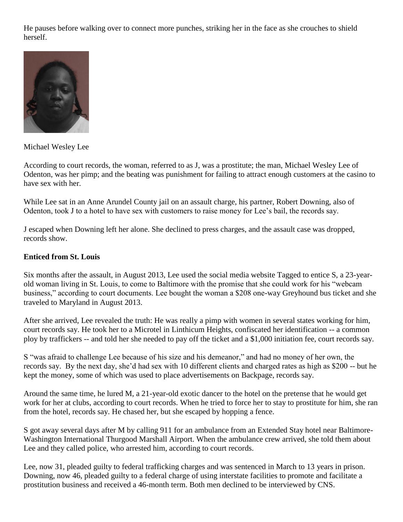He pauses before walking over to connect more punches, striking her in the face as she crouches to shield herself.



Michael Wesley Lee

According to court records, the woman, referred to as J, was a prostitute; the man, Michael Wesley Lee of Odenton, was her pimp; and the beating was punishment for failing to attract enough customers at the casino to have sex with her.

While Lee sat in an Anne Arundel County jail on an assault charge, his partner, Robert Downing, also of Odenton, took J to a hotel to have sex with customers to raise money for Lee's bail, the records say.

J escaped when Downing left her alone. She declined to press charges, and the assault case was dropped, records show.

### **Enticed from St. Louis**

Six months after the assault, in August 2013, Lee used the social media website Tagged to entice S, a 23-yearold woman living in St. Louis, to come to Baltimore with the promise that she could work for his "webcam business," according to court documents. Lee bought the woman a \$208 one-way Greyhound bus ticket and she traveled to Maryland in August 2013.

After she arrived, Lee revealed the truth: He was really a pimp with women in several states working for him, court records say. He took her to a Microtel in Linthicum Heights, confiscated her identification -- a common ploy by traffickers -- and told her she needed to pay off the ticket and a \$1,000 initiation fee, court records say.

S "was afraid to challenge Lee because of his size and his demeanor," and had no money of her own, the records say. By the next day, she'd had sex with 10 different clients and charged rates as high as \$200 -- but he kept the money, some of which was used to place advertisements on Backpage, records say.

Around the same time, he lured M, a 21-year-old exotic dancer to the hotel on the pretense that he would get work for her at clubs, according to court records. When he tried to force her to stay to prostitute for him, she ran from the hotel, records say. He chased her, but she escaped by hopping a fence.

S got away several days after M by calling 911 for an ambulance from an Extended Stay hotel near Baltimore-Washington International Thurgood Marshall Airport. When the ambulance crew arrived, she told them about Lee and they called police, who arrested him, according to court records.

Lee, now 31, pleaded guilty to federal trafficking charges and was sentenced in March to 13 years in prison. Downing, now 46, pleaded guilty to a federal charge of using interstate facilities to promote and facilitate a prostitution business and received a 46-month term. Both men declined to be interviewed by CNS.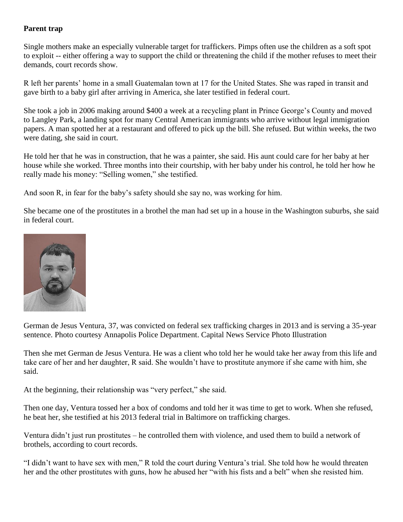## **Parent trap**

Single mothers make an especially vulnerable target for traffickers. Pimps often use the children as a soft spot to exploit -- either offering a way to support the child or threatening the child if the mother refuses to meet their demands, court records show.

R left her parents' home in a small Guatemalan town at 17 for the United States. She was raped in transit and gave birth to a baby girl after arriving in America, she later testified in federal court.

She took a job in 2006 making around \$400 a week at a recycling plant in Prince George's County and moved to Langley Park, a landing spot for many Central American immigrants who arrive without legal immigration papers. A man spotted her at a restaurant and offered to pick up the bill. She refused. But within weeks, the two were dating, she said in court.

He told her that he was in construction, that he was a painter, she said. His aunt could care for her baby at her house while she worked. Three months into their courtship, with her baby under his control, he told her how he really made his money: "Selling women," she testified.

And soon R, in fear for the baby's safety should she say no, was working for him.

She became one of the prostitutes in a brothel the man had set up in a house in the Washington suburbs, she said in federal court.



German de Jesus Ventura, 37, was convicted on federal sex trafficking charges in 2013 and is serving a 35-year sentence. Photo courtesy Annapolis Police Department. Capital News Service Photo Illustration

Then she met German de Jesus Ventura. He was a client who told her he would take her away from this life and take care of her and her daughter, R said. She wouldn't have to prostitute anymore if she came with him, she said.

At the beginning, their relationship was "very perfect," she said.

Then one day, Ventura tossed her a box of condoms and told her it was time to get to work. When she refused, he beat her, she testified at his 2013 federal trial in Baltimore on trafficking charges.

Ventura didn't just run prostitutes – he controlled them with violence, and used them to build a network of brothels, according to court records.

"I didn't want to have sex with men," R told the court during Ventura's trial. She told how he would threaten her and the other prostitutes with guns, how he abused her "with his fists and a belt" when she resisted him.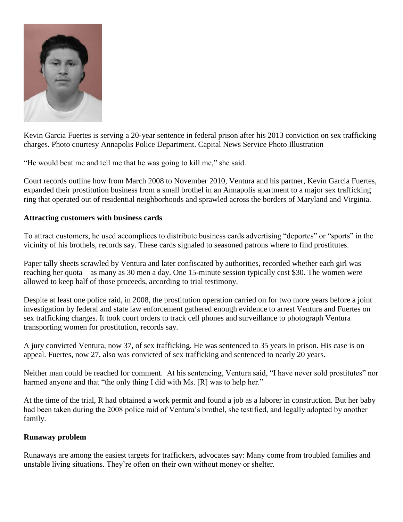

Kevin Garcia Fuertes is serving a 20-year sentence in federal prison after his 2013 conviction on sex trafficking charges. Photo courtesy Annapolis Police Department. Capital News Service Photo Illustration

"He would beat me and tell me that he was going to kill me," she said.

Court records outline how from March 2008 to November 2010, Ventura and his partner, Kevin Garcia Fuertes, expanded their prostitution business from a small brothel in an Annapolis apartment to a major sex trafficking ring that operated out of residential neighborhoods and sprawled across the borders of Maryland and Virginia.

#### **Attracting customers with business cards**

To attract customers, he used accomplices to distribute business cards advertising "deportes" or "sports" in the vicinity of his brothels, records say. These cards signaled to seasoned patrons where to find prostitutes.

Paper tally sheets scrawled by Ventura and later confiscated by authorities, recorded whether each girl was reaching her quota – as many as 30 men a day. One 15-minute session typically cost \$30. The women were allowed to keep half of those proceeds, according to trial testimony.

Despite at least one police raid, in 2008, the prostitution operation carried on for two more years before a joint investigation by federal and state law enforcement gathered enough evidence to arrest Ventura and Fuertes on sex trafficking charges. It took court orders to track cell phones and surveillance to photograph Ventura transporting women for prostitution, records say.

A jury convicted Ventura, now 37, of sex trafficking. He was sentenced to 35 years in prison. His case is on appeal. Fuertes, now 27, also was convicted of sex trafficking and sentenced to nearly 20 years.

Neither man could be reached for comment. At his sentencing, Ventura said, "I have never sold prostitutes" nor harmed anyone and that "the only thing I did with Ms. [R] was to help her."

At the time of the trial, R had obtained a work permit and found a job as a laborer in construction. But her baby had been taken during the 2008 police raid of Ventura's brothel, she testified, and legally adopted by another family.

## **Runaway problem**

Runaways are among the easiest targets for traffickers, advocates say: Many come from troubled families and unstable living situations. They're often on their own without money or shelter.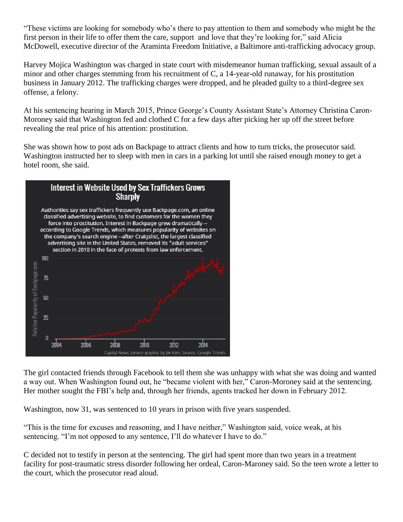"These victims are looking for somebody who's there to pay attention to them and somebody who might be the first person in their life to offer them the care, support and love that they're looking for," said Alicia McDowell, executive director of the Araminta Freedom Initiative, a Baltimore anti-trafficking advocacy group.

Harvey Mojica Washington was charged in state court with misdemeanor human trafficking, sexual assault of a minor and other charges stemming from his recruitment of C, a 14-year-old runaway, for his prostitution business in January 2012. The trafficking charges were dropped, and he pleaded guilty to a third-degree sex offense, a felony.

At his sentencing hearing in March 2015, Prince George's County Assistant State's Attorney Christina Caron-Moroney said that Washington fed and clothed C for a few days after picking her up off the street before revealing the real price of his attention: prostitution.

She was shown how to post ads on Backpage to attract clients and how to turn tricks, the prosecutor said. Washington instructed her to sleep with men in cars in a parking lot until she raised enough money to get a hotel room, she said.



The girl contacted friends through Facebook to tell them she was unhappy with what she was doing and wanted a way out. When Washington found out, he "became violent with her," Caron-Moroney said at the sentencing. Her mother sought the FBI's help and, through her friends, agents tracked her down in February 2012.

Washington, now 31, was sentenced to 10 years in prison with five years suspended.

"This is the time for excuses and reasoning, and I have neither," Washington said, voice weak, at his sentencing. "I'm not opposed to any sentence, I'll do whatever I have to do."

C decided not to testify in person at the sentencing. The girl had spent more than two years in a treatment facility for post-traumatic stress disorder following her ordeal, Caron-Maroney said. So the teen wrote a letter to the court, which the prosecutor read aloud.